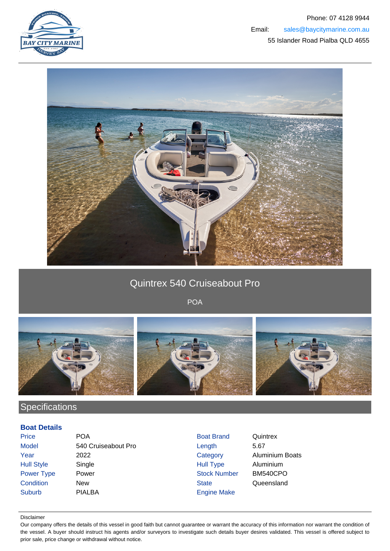



## Quintrex 540 Cruiseabout Pro

POA



# **Specifications**

### **Boat Details**

| <b>Price</b>      | <b>POA</b>          | <b>Boat Brand</b>   | Quintrex               |
|-------------------|---------------------|---------------------|------------------------|
| <b>Model</b>      | 540 Cruiseabout Pro | Length              | 5.67                   |
| Year              | 2022                | Category            | <b>Aluminium Boats</b> |
| <b>Hull Style</b> | Single              | <b>Hull Type</b>    | Aluminium              |
| Power Type        | Power               | <b>Stock Number</b> | BM540CPO               |
| Condition         | <b>New</b>          | <b>State</b>        | Queensland             |
| <b>Suburb</b>     | <b>PIALBA</b>       | <b>Engine Make</b>  |                        |

#### Disclaimer

Our company offers the details of this vessel in good faith but cannot guarantee or warrant the accuracy of this information nor warrant the condition of the vessel. A buyer should instruct his agents and/or surveyors to investigate such details buyer desires validated. This vessel is offered subject to prior sale, price change or withdrawal without notice.